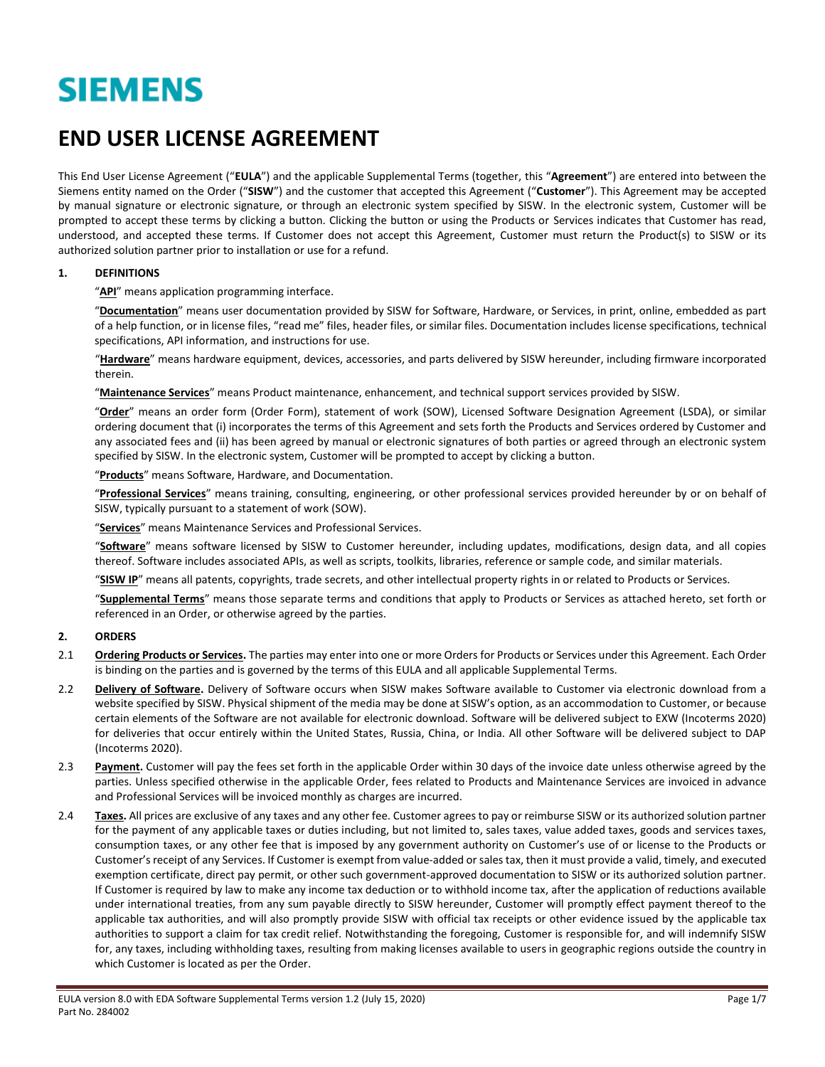# **SIEMENS**

# **END USER LICENSE AGREEMENT**

This End User License Agreement ("**EULA**") and the applicable Supplemental Terms (together, this "**Agreement**") are entered into between the Siemens entity named on the Order ("**SISW**") and the customer that accepted this Agreement ("**Customer**"). This Agreement may be accepted by manual signature or electronic signature, or through an electronic system specified by SISW. In the electronic system, Customer will be prompted to accept these terms by clicking a button. Clicking the button or using the Products or Services indicates that Customer has read, understood, and accepted these terms. If Customer does not accept this Agreement, Customer must return the Product(s) to SISW or its authorized solution partner prior to installation or use for a refund.

#### **1. DEFINITIONS**

"**API**" means application programming interface.

"**Documentation**" means user documentation provided by SISW for Software, Hardware, or Services, in print, online, embedded as part of a help function, or in license files, "read me" files, header files, or similar files. Documentation includes license specifications, technical specifications, API information, and instructions for use.

"**Hardware**" means hardware equipment, devices, accessories, and parts delivered by SISW hereunder, including firmware incorporated therein.

"**Maintenance Services**" means Product maintenance, enhancement, and technical support services provided by SISW.

"**Order**" means an order form (Order Form), statement of work (SOW), Licensed Software Designation Agreement (LSDA), or similar ordering document that (i) incorporates the terms of this Agreement and sets forth the Products and Services ordered by Customer and any associated fees and (ii) has been agreed by manual or electronic signatures of both parties or agreed through an electronic system specified by SISW. In the electronic system, Customer will be prompted to accept by clicking a button.

"**Products**" means Software, Hardware, and Documentation.

"**Professional Services**" means training, consulting, engineering, or other professional services provided hereunder by or on behalf of SISW, typically pursuant to a statement of work (SOW).

"**Services**" means Maintenance Services and Professional Services.

"**Software**" means software licensed by SISW to Customer hereunder, including updates, modifications, design data, and all copies thereof. Software includes associated APIs, as well as scripts, toolkits, libraries, reference or sample code, and similar materials.

"**SISW IP**" means all patents, copyrights, trade secrets, and other intellectual property rights in or related to Products or Services.

"**Supplemental Terms**" means those separate terms and conditions that apply to Products or Services as attached hereto, set forth or referenced in an Order, or otherwise agreed by the parties.

#### **2. ORDERS**

- 2.1 **Ordering Products or Services.** The parties may enter into one or more Orders for Products or Services under this Agreement. Each Order is binding on the parties and is governed by the terms of this EULA and all applicable Supplemental Terms.
- 2.2 **Delivery of Software.** Delivery of Software occurs when SISW makes Software available to Customer via electronic download from a website specified by SISW. Physical shipment of the media may be done at SISW's option, as an accommodation to Customer, or because certain elements of the Software are not available for electronic download. Software will be delivered subject to EXW (Incoterms 2020) for deliveries that occur entirely within the United States, Russia, China, or India. All other Software will be delivered subject to DAP (Incoterms 2020).
- <span id="page-0-0"></span>2.3 **Payment.** Customer will pay the fees set forth in the applicable Order within 30 days of the invoice date unless otherwise agreed by the parties. Unless specified otherwise in the applicable Order, fees related to Products and Maintenance Services are invoiced in advance and Professional Services will be invoiced monthly as charges are incurred.
- <span id="page-0-1"></span>2.4 Taxes. All prices are exclusive of any taxes and any other fee. Customer agrees to pay or reimburse SISW or its authorized solution partner for the payment of any applicable taxes or duties including, but not limited to, sales taxes, value added taxes, goods and services taxes, consumption taxes, or any other fee that is imposed by any government authority on Customer's use of or license to the Products or Customer'sreceipt of any Services. If Customer is exempt from value-added or sales tax, then it must provide a valid, timely, and executed exemption certificate, direct pay permit, or other such government-approved documentation to SISW or its authorized solution partner. If Customer is required by law to make any income tax deduction or to withhold income tax, after the application of reductions available under international treaties, from any sum payable directly to SISW hereunder, Customer will promptly effect payment thereof to the applicable tax authorities, and will also promptly provide SISW with official tax receipts or other evidence issued by the applicable tax authorities to support a claim for tax credit relief. Notwithstanding the foregoing, Customer is responsible for, and will indemnify SISW for, any taxes, including withholding taxes, resulting from making licenses available to users in geographic regions outside the country in which Customer is located as per the Order.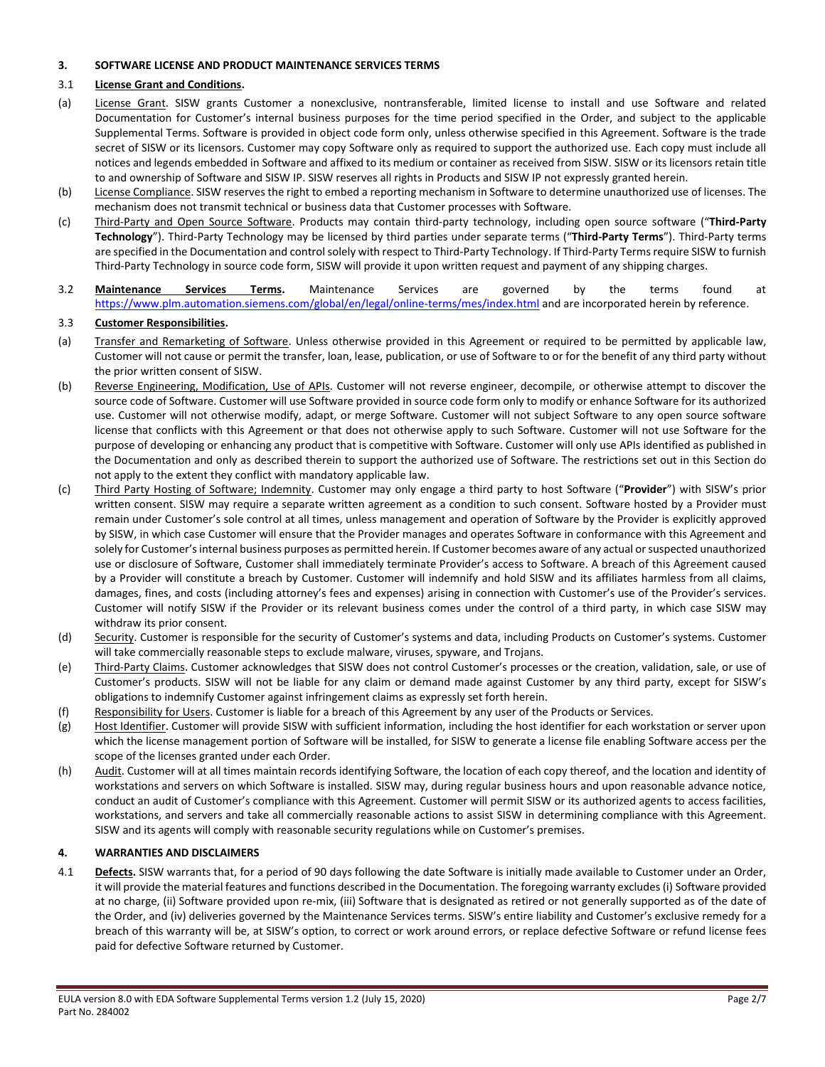#### <span id="page-1-0"></span>**3. SOFTWARE LICENSE AND PRODUCT MAINTENANCE SERVICES TERMS**

#### 3.1 **License Grant and Conditions.**

- (a) License Grant. SISW grants Customer a nonexclusive, nontransferable, limited license to install and use Software and related Documentation for Customer's internal business purposes for the time period specified in the Order, and subject to the applicable Supplemental Terms. Software is provided in object code form only, unless otherwise specified in this Agreement. Software is the trade secret of SISW or its licensors. Customer may copy Software only as required to support the authorized use. Each copy must include all notices and legends embedded in Software and affixed to its medium or container as received from SISW. SISW or its licensors retain title to and ownership of Software and SISW IP. SISW reserves all rights in Products and SISW IP not expressly granted herein.
- (b) License Compliance. SISW reserves the right to embed a reporting mechanism in Software to determine unauthorized use of licenses. The mechanism does not transmit technical or business data that Customer processes with Software.
- (c) Third-Party and Open Source Software. Products may contain third-party technology, including open source software ("**Third-Party Technology**"). Third-Party Technology may be licensed by third parties under separate terms ("**Third-Party Terms**"). Third-Party terms are specified in the Documentation and control solely with respect to Third-Party Technology. If Third-Party Terms require SISW to furnish Third-Party Technology in source code form, SISW will provide it upon written request and payment of any shipping charges.
- 3.2 **Maintenance Services Terms.** Maintenance Services are governed by the terms found at <https://www.plm.automation.siemens.com/global/en/legal/online-terms/mes/index.html> and are incorporated herein by reference.

#### 3.3 **Customer Responsibilities.**

- (a) Transfer and Remarketing of Software. Unless otherwise provided in this Agreement or required to be permitted by applicable law, Customer will not cause or permit the transfer, loan, lease, publication, or use of Software to or for the benefit of any third party without the prior written consent of SISW.
- (b) Reverse Engineering, Modification, Use of APIs. Customer will not reverse engineer, decompile, or otherwise attempt to discover the source code of Software. Customer will use Software provided in source code form only to modify or enhance Software for its authorized use. Customer will not otherwise modify, adapt, or merge Software. Customer will not subject Software to any open source software license that conflicts with this Agreement or that does not otherwise apply to such Software. Customer will not use Software for the purpose of developing or enhancing any product that is competitive with Software. Customer will only use APIs identified as published in the Documentation and only as described therein to support the authorized use of Software. The restrictions set out in this Section do not apply to the extent they conflict with mandatory applicable law.
- (c) Third Party Hosting of Software; Indemnity. Customer may only engage a third party to host Software ("**Provider**") with SISW's prior written consent. SISW may require a separate written agreement as a condition to such consent. Software hosted by a Provider must remain under Customer's sole control at all times, unless management and operation of Software by the Provider is explicitly approved by SISW, in which case Customer will ensure that the Provider manages and operates Software in conformance with this Agreement and solely for Customer'sinternal business purposes as permitted herein. If Customer becomes aware of any actual or suspected unauthorized use or disclosure of Software, Customer shall immediately terminate Provider's access to Software. A breach of this Agreement caused by a Provider will constitute a breach by Customer. Customer will indemnify and hold SISW and its affiliates harmless from all claims, damages, fines, and costs (including attorney's fees and expenses) arising in connection with Customer's use of the Provider's services. Customer will notify SISW if the Provider or its relevant business comes under the control of a third party, in which case SISW may withdraw its prior consent.
- (d) Security. Customer is responsible for the security of Customer's systems and data, including Products on Customer's systems. Customer will take commercially reasonable steps to exclude malware, viruses, spyware, and Trojans.
- (e) Third-Party Claims. Customer acknowledges that SISW does not control Customer's processes or the creation, validation, sale, or use of Customer's products. SISW will not be liable for any claim or demand made against Customer by any third party, except for SISW's obligations to indemnify Customer against infringement claims as expressly set forth herein.
- (f) Responsibility for Users. Customer is liable for a breach of this Agreement by any user of the Products or Services.
- (g) Host Identifier. Customer will provide SISW with sufficient information, including the host identifier for each workstation or server upon which the license management portion of Software will be installed, for SISW to generate a license file enabling Software access per the scope of the licenses granted under each Order.
- (h) Audit. Customer will at all times maintain records identifying Software, the location of each copy thereof, and the location and identity of workstations and servers on which Software is installed. SISW may, during regular business hours and upon reasonable advance notice, conduct an audit of Customer's compliance with this Agreement. Customer will permit SISW or its authorized agents to access facilities, workstations, and servers and take all commercially reasonable actions to assist SISW in determining compliance with this Agreement. SISW and its agents will comply with reasonable security regulations while on Customer's premises.

#### **4. WARRANTIES AND DISCLAIMERS**

4.1 **Defects.** SISW warrants that, for a period of 90 days following the date Software is initially made available to Customer under an Order, it will provide the material features and functions described in the Documentation. The foregoing warranty excludes (i) Software provided at no charge, (ii) Software provided upon re-mix, (iii) Software that is designated as retired or not generally supported as of the date of the Order, and (iv) deliveries governed by the Maintenance Services terms. SISW's entire liability and Customer's exclusive remedy for a breach of this warranty will be, at SISW's option, to correct or work around errors, or replace defective Software or refund license fees paid for defective Software returned by Customer.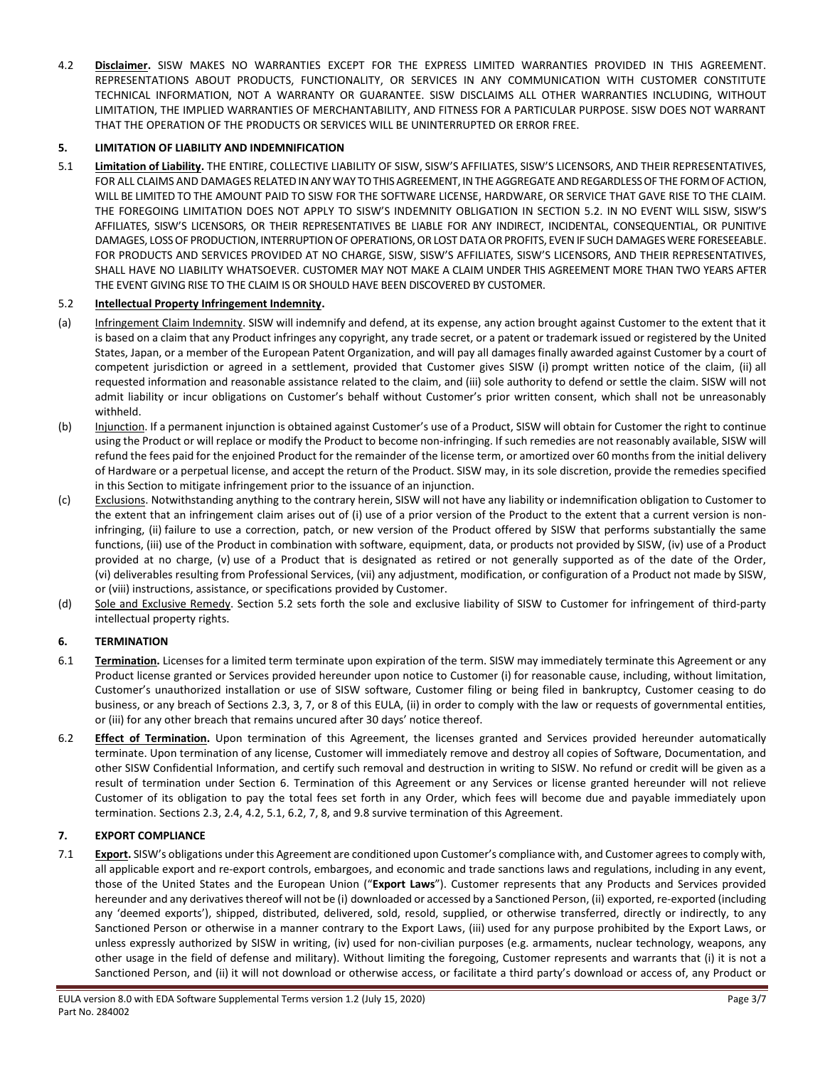<span id="page-2-3"></span>4.2 **Disclaimer.** SISW MAKES NO WARRANTIES EXCEPT FOR THE EXPRESS LIMITED WARRANTIES PROVIDED IN THIS AGREEMENT. REPRESENTATIONS ABOUT PRODUCTS, FUNCTIONALITY, OR SERVICES IN ANY COMMUNICATION WITH CUSTOMER CONSTITUTE TECHNICAL INFORMATION, NOT A WARRANTY OR GUARANTEE. SISW DISCLAIMS ALL OTHER WARRANTIES INCLUDING, WITHOUT LIMITATION, THE IMPLIED WARRANTIES OF MERCHANTABILITY, AND FITNESS FOR A PARTICULAR PURPOSE. SISW DOES NOT WARRANT THAT THE OPERATION OF THE PRODUCTS OR SERVICES WILL BE UNINTERRUPTED OR ERROR FREE.

## **5. LIMITATION OF LIABILITY AND INDEMNIFICATION**

<span id="page-2-4"></span>5.1 **Limitation of Liability.** THE ENTIRE, COLLECTIVE LIABILITY OF SISW, SISW'S AFFILIATES, SISW'S LICENSORS, AND THEIR REPRESENTATIVES, FOR ALL CLAIMS AND DAMAGES RELATED IN ANY WAY TO THIS AGREEMENT, IN THE AGGREGATE AND REGARDLESS OF THE FORM OF ACTION, WILL BE LIMITED TO THE AMOUNT PAID TO SISW FOR THE SOFTWARE LICENSE, HARDWARE, OR SERVICE THAT GAVE RISE TO THE CLAIM. THE FOREGOING LIMITATION DOES NOT APPLY TO SISW'S INDEMNITY OBLIGATION IN SECTION [5.2.](#page-2-0) IN NO EVENT WILL SISW, SISW'S AFFILIATES, SISW'S LICENSORS, OR THEIR REPRESENTATIVES BE LIABLE FOR ANY INDIRECT, INCIDENTAL, CONSEQUENTIAL, OR PUNITIVE DAMAGES, LOSS OF PRODUCTION, INTERRUPTION OF OPERATIONS, OR LOST DATA OR PROFITS, EVEN IF SUCH DAMAGES WERE FORESEEABLE. FOR PRODUCTS AND SERVICES PROVIDED AT NO CHARGE, SISW, SISW'S AFFILIATES, SISW'S LICENSORS, AND THEIR REPRESENTATIVES, SHALL HAVE NO LIABILITY WHATSOEVER. CUSTOMER MAY NOT MAKE A CLAIM UNDER THIS AGREEMENT MORE THAN TWO YEARS AFTER THE EVENT GIVING RISE TO THE CLAIM IS OR SHOULD HAVE BEEN DISCOVERED BY CUSTOMER.

### <span id="page-2-0"></span>5.2 **Intellectual Property Infringement Indemnity.**

- (a) Infringement Claim Indemnity. SISW will indemnify and defend, at its expense, any action brought against Customer to the extent that it is based on a claim that any Product infringes any copyright, any trade secret, or a patent or trademark issued or registered by the United States, Japan, or a member of the European Patent Organization, and will pay all damages finally awarded against Customer by a court of competent jurisdiction or agreed in a settlement, provided that Customer gives SISW (i) prompt written notice of the claim, (ii) all requested information and reasonable assistance related to the claim, and (iii) sole authority to defend or settle the claim. SISW will not admit liability or incur obligations on Customer's behalf without Customer's prior written consent, which shall not be unreasonably withheld.
- (b) Injunction. If a permanent injunction is obtained against Customer's use of a Product, SISW will obtain for Customer the right to continue using the Product or will replace or modify the Product to become non-infringing. If such remedies are not reasonably available, SISW will refund the fees paid for the enjoined Product for the remainder of the license term, or amortized over 60 months from the initial delivery of Hardware or a perpetual license, and accept the return of the Product. SISW may, in its sole discretion, provide the remedies specified in this Section to mitigate infringement prior to the issuance of an injunction.
- (c) Exclusions. Notwithstanding anything to the contrary herein, SISW will not have any liability or indemnification obligation to Customer to the extent that an infringement claim arises out of (i) use of a prior version of the Product to the extent that a current version is noninfringing, (ii) failure to use a correction, patch, or new version of the Product offered by SISW that performs substantially the same functions, (iii) use of the Product in combination with software, equipment, data, or products not provided by SISW, (iv) use of a Product provided at no charge, (v) use of a Product that is designated as retired or not generally supported as of the date of the Order, (vi) deliverables resulting from Professional Services, (vii) any adjustment, modification, or configuration of a Product not made by SISW, or (viii) instructions, assistance, or specifications provided by Customer.
- (d) Sole and Exclusive Remedy. Section [5.2](#page-2-0) sets forth the sole and exclusive liability of SISW to Customer for infringement of third-party intellectual property rights.

#### <span id="page-2-2"></span>**6. TERMINATION**

- 6.1 **Termination**. Licenses for a limited term terminate upon expiration of the term. SISW may immediately terminate this Agreement or any Product license granted or Services provided hereunder upon notice to Customer (i) for reasonable cause, including, without limitation, Customer's unauthorized installation or use of SISW software, Customer filing or being filed in bankruptcy, Customer ceasing to do business, or any breach of Sections [2.3,](#page-0-0) [3,](#page-1-0) [7,](#page-2-1) or [8](#page-3-0) of this EULA, (ii) in order to comply with the law or requests of governmental entities, or (iii) for any other breach that remains uncured after 30 days' notice thereof.
- <span id="page-2-5"></span>6.2 **Effect of Termination.** Upon termination of this Agreement, the licenses granted and Services provided hereunder automatically terminate. Upon termination of any license, Customer will immediately remove and destroy all copies of Software, Documentation, and other SISW Confidential Information, and certify such removal and destruction in writing to SISW. No refund or credit will be given as a result of termination under Section [6.](#page-2-2) Termination of this Agreement or any Services or license granted hereunder will not relieve Customer of its obligation to pay the total fees set forth in any Order, which fees will become due and payable immediately upon termination. Sections [2.3,](#page-0-0) [2.4,](#page-0-1) [4.2,](#page-2-3) [5.1,](#page-2-4) [6.2,](#page-2-5) [7,](#page-2-1) [8,](#page-3-0) and [9.8](#page-4-0) survive termination of this Agreement.

## <span id="page-2-1"></span>**7. EXPORT COMPLIANCE**

7.1 **Export.** SISW's obligations under this Agreement are conditioned upon Customer's compliance with, and Customer agrees to comply with, all applicable export and re-export controls, embargoes, and economic and trade sanctions laws and regulations, including in any event, those of the United States and the European Union ("**Export Laws**"). Customer represents that any Products and Services provided hereunder and any derivatives thereof will not be (i) downloaded or accessed by a Sanctioned Person, (ii) exported, re-exported (including any 'deemed exports'), shipped, distributed, delivered, sold, resold, supplied, or otherwise transferred, directly or indirectly, to any Sanctioned Person or otherwise in a manner contrary to the Export Laws, (iii) used for any purpose prohibited by the Export Laws, or unless expressly authorized by SISW in writing, (iv) used for non-civilian purposes (e.g. armaments, nuclear technology, weapons, any other usage in the field of defense and military). Without limiting the foregoing, Customer represents and warrants that (i) it is not a Sanctioned Person, and (ii) it will not download or otherwise access, or facilitate a third party's download or access of, any Product or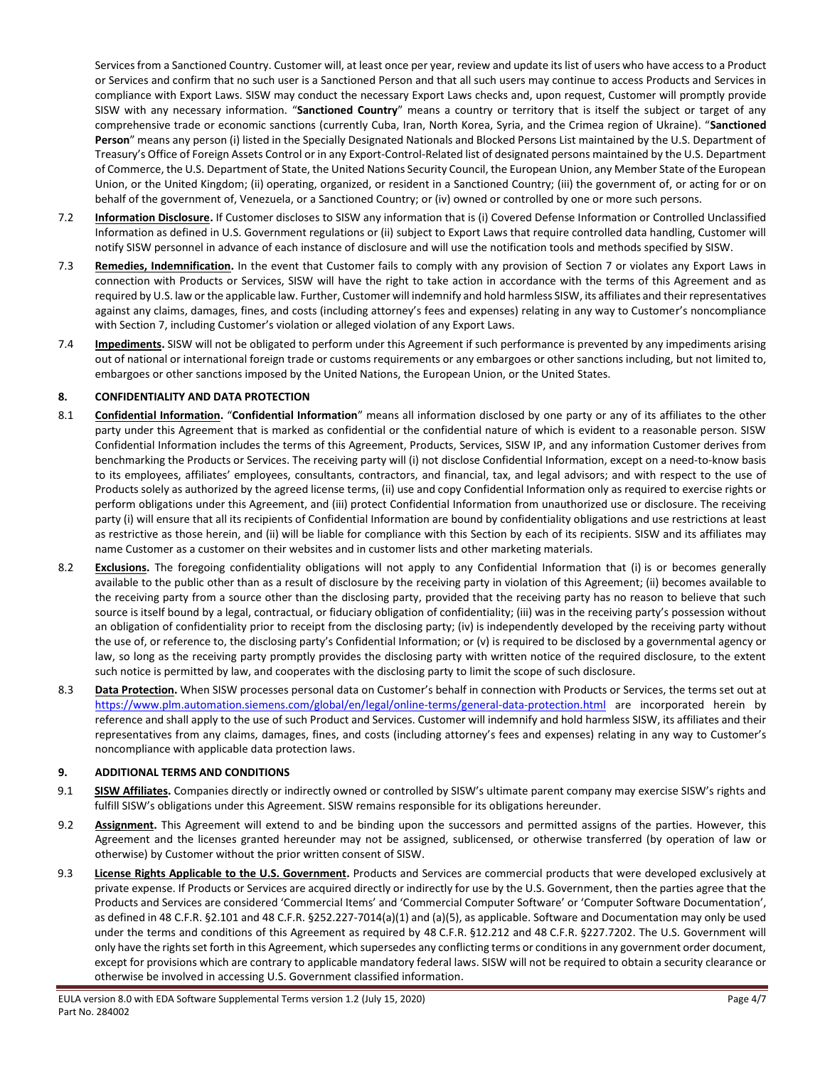Services from a Sanctioned Country. Customer will, at least once per year, review and update its list of users who have access to a Product or Services and confirm that no such user is a Sanctioned Person and that all such users may continue to access Products and Services in compliance with Export Laws. SISW may conduct the necessary Export Laws checks and, upon request, Customer will promptly provide SISW with any necessary information. "**Sanctioned Country**" means a country or territory that is itself the subject or target of any comprehensive trade or economic sanctions (currently Cuba, Iran, North Korea, Syria, and the Crimea region of Ukraine). "**Sanctioned Person**" means any person (i) listed in the Specially Designated Nationals and Blocked Persons List maintained by the U.S. Department of Treasury's Office of Foreign Assets Control or in any Export-Control-Related list of designated persons maintained by the U.S. Department of Commerce, the U.S. Department of State, the United Nations Security Council, the European Union, any Member State of the European Union, or the United Kingdom; (ii) operating, organized, or resident in a Sanctioned Country; (iii) the government of, or acting for or on behalf of the government of, Venezuela, or a Sanctioned Country; or (iv) owned or controlled by one or more such persons.

- 7.2 **Information Disclosure.** If Customer discloses to SISW any information that is (i) Covered Defense Information or Controlled Unclassified Information as defined in U.S. Government regulations or (ii) subject to Export Laws that require controlled data handling, Customer will notify SISW personnel in advance of each instance of disclosure and will use the notification tools and methods specified by SISW.
- 7.3 **Remedies, Indemnification.** In the event that Customer fails to comply with any provision of Sectio[n 7](#page-2-1) or violates any Export Laws in connection with Products or Services, SISW will have the right to take action in accordance with the terms of this Agreement and as required by U.S. law or the applicable law. Further, Customer will indemnify and hold harmless SISW, its affiliates and theirrepresentatives against any claims, damages, fines, and costs (including attorney's fees and expenses) relating in any way to Customer's noncompliance with Section [7](#page-2-1), including Customer's violation or alleged violation of any Export Laws.
- 7.4 **Impediments.** SISW will not be obligated to perform under this Agreement if such performance is prevented by any impediments arising out of national or international foreign trade or customs requirements or any embargoes or other sanctions including, but not limited to, embargoes or other sanctions imposed by the United Nations, the European Union, or the United States.

#### <span id="page-3-0"></span>**8. CONFIDENTIALITY AND DATA PROTECTION**

- 8.1 **Confidential Information.** "**Confidential Information**" means all information disclosed by one party or any of its affiliates to the other party under this Agreement that is marked as confidential or the confidential nature of which is evident to a reasonable person. SISW Confidential Information includes the terms of this Agreement, Products, Services, SISW IP, and any information Customer derives from benchmarking the Products or Services. The receiving party will (i) not disclose Confidential Information, except on a need-to-know basis to its employees, affiliates' employees, consultants, contractors, and financial, tax, and legal advisors; and with respect to the use of Products solely as authorized by the agreed license terms, (ii) use and copy Confidential Information only as required to exercise rights or perform obligations under this Agreement, and (iii) protect Confidential Information from unauthorized use or disclosure. The receiving party (i) will ensure that all its recipients of Confidential Information are bound by confidentiality obligations and use restrictions at least as restrictive as those herein, and (ii) will be liable for compliance with this Section by each of its recipients. SISW and its affiliates may name Customer as a customer on their websites and in customer lists and other marketing materials.
- 8.2 **Exclusions.** The foregoing confidentiality obligations will not apply to any Confidential Information that (i) is or becomes generally available to the public other than as a result of disclosure by the receiving party in violation of this Agreement; (ii) becomes available to the receiving party from a source other than the disclosing party, provided that the receiving party has no reason to believe that such source is itself bound by a legal, contractual, or fiduciary obligation of confidentiality; (iii) was in the receiving party's possession without an obligation of confidentiality prior to receipt from the disclosing party; (iv) is independently developed by the receiving party without the use of, or reference to, the disclosing party's Confidential Information; or (v) is required to be disclosed by a governmental agency or law, so long as the receiving party promptly provides the disclosing party with written notice of the required disclosure, to the extent such notice is permitted by law, and cooperates with the disclosing party to limit the scope of such disclosure.
- 8.3 **Data Protection.** When SISW processes personal data on Customer's behalf in connection with Products or Services, the terms set out at <https://www.plm.automation.siemens.com/global/en/legal/online-terms/general-data-protection.html> are incorporated herein by reference and shall apply to the use of such Product and Services. Customer will indemnify and hold harmless SISW, its affiliates and their representatives from any claims, damages, fines, and costs (including attorney's fees and expenses) relating in any way to Customer's noncompliance with applicable data protection laws.

#### **9. ADDITIONAL TERMS AND CONDITIONS**

- 9.1 **SISW Affiliates.** Companies directly or indirectly owned or controlled by SISW's ultimate parent company may exercise SISW's rights and fulfill SISW's obligations under this Agreement. SISW remains responsible for its obligations hereunder.
- 9.2 **Assignment.** This Agreement will extend to and be binding upon the successors and permitted assigns of the parties. However, this Agreement and the licenses granted hereunder may not be assigned, sublicensed, or otherwise transferred (by operation of law or otherwise) by Customer without the prior written consent of SISW.
- 9.3 **License Rights Applicable to the U.S. Government.** Products and Services are commercial products that were developed exclusively at private expense. If Products or Services are acquired directly or indirectly for use by the U.S. Government, then the parties agree that the Products and Services are considered 'Commercial Items' and 'Commercial Computer Software' or 'Computer Software Documentation', as defined in 48 C.F.R. §2.101 and 48 C.F.R. §252.227-7014(a)(1) and (a)(5), as applicable. Software and Documentation may only be used under the terms and conditions of this Agreement as required by 48 C.F.R. §12.212 and 48 C.F.R. §227.7202. The U.S. Government will only have the rights set forth in this Agreement, which supersedes any conflicting terms or conditions in any government order document, except for provisions which are contrary to applicable mandatory federal laws. SISW will not be required to obtain a security clearance or otherwise be involved in accessing U.S. Government classified information.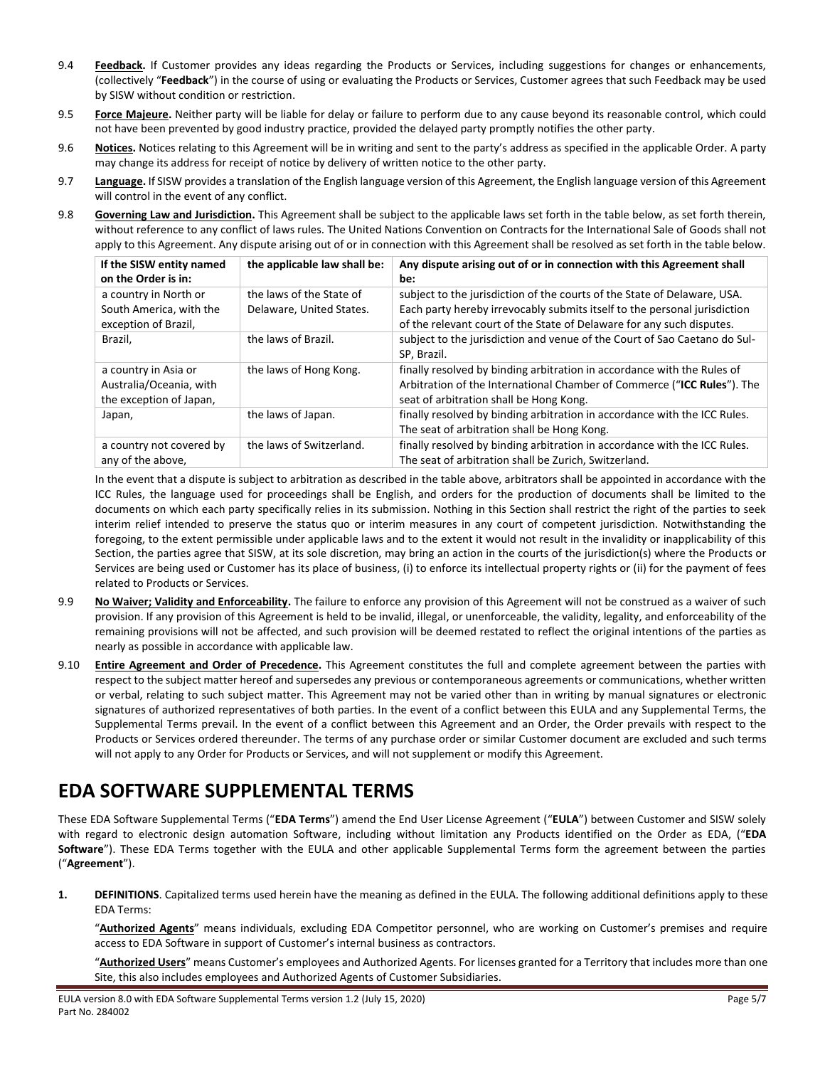- 9.4 **Feedback.** If Customer provides any ideas regarding the Products or Services, including suggestions for changes or enhancements, (collectively "**Feedback**") in the course of using or evaluating the Products or Services, Customer agrees that such Feedback may be used by SISW without condition or restriction.
- 9.5 **Force Majeure.** Neither party will be liable for delay or failure to perform due to any cause beyond its reasonable control, which could not have been prevented by good industry practice, provided the delayed party promptly notifies the other party.
- 9.6 **Notices.** Notices relating to this Agreement will be in writing and sent to the party's address as specified in the applicable Order. A party may change its address for receipt of notice by delivery of written notice to the other party.
- 9.7 **Language.** If SISW provides a translation of the English language version of this Agreement, the English language version of this Agreement will control in the event of any conflict.
- <span id="page-4-0"></span>9.8 **Governing Law and Jurisdiction.** This Agreement shall be subject to the applicable laws set forth in the table below, as set forth therein, without reference to any conflict of laws rules. The United Nations Convention on Contracts for the International Sale of Goods shall not apply to this Agreement. Any dispute arising out of or in connection with this Agreement shall be resolved as set forth in the table below.

| If the SISW entity named<br>on the Order is in:                            | the applicable law shall be:                         | Any dispute arising out of or in connection with this Agreement shall<br>be:                                                                                                                                                   |
|----------------------------------------------------------------------------|------------------------------------------------------|--------------------------------------------------------------------------------------------------------------------------------------------------------------------------------------------------------------------------------|
| a country in North or<br>South America, with the<br>exception of Brazil,   | the laws of the State of<br>Delaware, United States. | subject to the jurisdiction of the courts of the State of Delaware, USA.<br>Each party hereby irrevocably submits itself to the personal jurisdiction<br>of the relevant court of the State of Delaware for any such disputes. |
| Brazil,                                                                    | the laws of Brazil.                                  | subject to the jurisdiction and venue of the Court of Sao Caetano do Sul-<br>SP. Brazil.                                                                                                                                       |
| a country in Asia or<br>Australia/Oceania, with<br>the exception of Japan, | the laws of Hong Kong.                               | finally resolved by binding arbitration in accordance with the Rules of<br>Arbitration of the International Chamber of Commerce ("ICC Rules"). The<br>seat of arbitration shall be Hong Kong.                                  |
| Japan,                                                                     | the laws of Japan.                                   | finally resolved by binding arbitration in accordance with the ICC Rules.<br>The seat of arbitration shall be Hong Kong.                                                                                                       |
| a country not covered by<br>any of the above,                              | the laws of Switzerland.                             | finally resolved by binding arbitration in accordance with the ICC Rules.<br>The seat of arbitration shall be Zurich, Switzerland.                                                                                             |

In the event that a dispute is subject to arbitration as described in the table above, arbitrators shall be appointed in accordance with the ICC Rules, the language used for proceedings shall be English, and orders for the production of documents shall be limited to the documents on which each party specifically relies in its submission. Nothing in this Section shall restrict the right of the parties to seek interim relief intended to preserve the status quo or interim measures in any court of competent jurisdiction. Notwithstanding the foregoing, to the extent permissible under applicable laws and to the extent it would not result in the invalidity or inapplicability of this Section, the parties agree that SISW, at its sole discretion, may bring an action in the courts of the jurisdiction(s) where the Products or Services are being used or Customer has its place of business, (i) to enforce its intellectual property rights or (ii) for the payment of fees related to Products or Services.

- 9.9 **No Waiver; Validity and Enforceability.** The failure to enforce any provision of this Agreement will not be construed as a waiver of such provision. If any provision of this Agreement is held to be invalid, illegal, or unenforceable, the validity, legality, and enforceability of the remaining provisions will not be affected, and such provision will be deemed restated to reflect the original intentions of the parties as nearly as possible in accordance with applicable law.
- 9.10 **Entire Agreement and Order of Precedence.** This Agreement constitutes the full and complete agreement between the parties with respect to the subject matter hereof and supersedes any previous or contemporaneous agreements or communications, whether written or verbal, relating to such subject matter. This Agreement may not be varied other than in writing by manual signatures or electronic signatures of authorized representatives of both parties. In the event of a conflict between this EULA and any Supplemental Terms, the Supplemental Terms prevail. In the event of a conflict between this Agreement and an Order, the Order prevails with respect to the Products or Services ordered thereunder. The terms of any purchase order or similar Customer document are excluded and such terms will not apply to any Order for Products or Services, and will not supplement or modify this Agreement.

# **EDA SOFTWARE SUPPLEMENTAL TERMS**

These EDA Software Supplemental Terms ("**EDA Terms**") amend the End User License Agreement ("**EULA**") between Customer and SISW solely with regard to electronic design automation Software, including without limitation any Products identified on the Order as EDA, ("**EDA Software**"). These EDA Terms together with the EULA and other applicable Supplemental Terms form the agreement between the parties ("**Agreement**").

**1. DEFINITIONS**. Capitalized terms used herein have the meaning as defined in the EULA. The following additional definitions apply to these EDA Terms:

"**Authorized Agents**" means individuals, excluding EDA Competitor personnel, who are working on Customer's premises and require access to EDA Software in support of Customer's internal business as contractors.

"**Authorized Users**" means Customer's employees and Authorized Agents. For licenses granted for a Territory that includes more than one Site, this also includes employees and Authorized Agents of Customer Subsidiaries.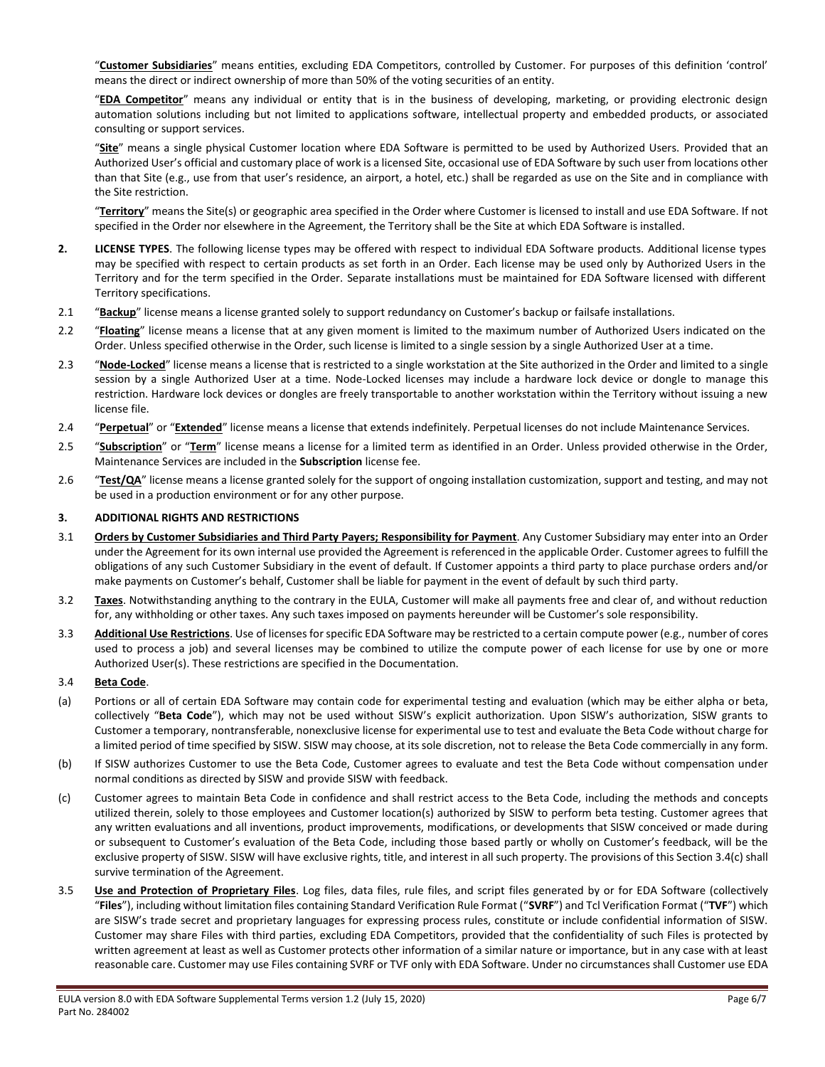"**Customer Subsidiaries**" means entities, excluding EDA Competitors, controlled by Customer. For purposes of this definition 'control' means the direct or indirect ownership of more than 50% of the voting securities of an entity.

"**EDA Competitor**" means any individual or entity that is in the business of developing, marketing, or providing electronic design automation solutions including but not limited to applications software, intellectual property and embedded products, or associated consulting or support services.

"**Site**" means a single physical Customer location where EDA Software is permitted to be used by Authorized Users. Provided that an Authorized User's official and customary place of work is a licensed Site, occasional use of EDA Software by such user from locations other than that Site (e.g., use from that user's residence, an airport, a hotel, etc.) shall be regarded as use on the Site and in compliance with the Site restriction.

"**Territory**" means the Site(s) or geographic area specified in the Order where Customer is licensed to install and use EDA Software. If not specified in the Order nor elsewhere in the Agreement, the Territory shall be the Site at which EDA Software is installed.

- **2. LICENSE TYPES**. The following license types may be offered with respect to individual EDA Software products. Additional license types may be specified with respect to certain products as set forth in an Order. Each license may be used only by Authorized Users in the Territory and for the term specified in the Order. Separate installations must be maintained for EDA Software licensed with different Territory specifications.
- 2.1 "**Backup**" license means a license granted solely to support redundancy on Customer's backup or failsafe installations.
- 2.2 "**Floating**" license means a license that at any given moment is limited to the maximum number of Authorized Users indicated on the Order. Unless specified otherwise in the Order, such license is limited to a single session by a single Authorized User at a time.
- 2.3 "**Node-Locked**" license means a license that is restricted to a single workstation at the Site authorized in the Order and limited to a single session by a single Authorized User at a time. Node-Locked licenses may include a hardware lock device or dongle to manage this restriction. Hardware lock devices or dongles are freely transportable to another workstation within the Territory without issuing a new license file.
- 2.4 "**Perpetual**" or "**Extended**" license means a license that extends indefinitely. Perpetual licenses do not include Maintenance Services.
- 2.5 "**Subscription**" or "**Term**" license means a license for a limited term as identified in an Order. Unless provided otherwise in the Order, Maintenance Services are included in the **Subscription** license fee.
- 2.6 "**Test/QA**" license means a license granted solely for the support of ongoing installation customization, support and testing, and may not be used in a production environment or for any other purpose.

#### **3. ADDITIONAL RIGHTS AND RESTRICTIONS**

- 3.1 **Orders by Customer Subsidiaries and Third Party Payers; Responsibility for Payment**. Any Customer Subsidiary may enter into an Order under the Agreement for its own internal use provided the Agreement is referenced in the applicable Order. Customer agrees to fulfill the obligations of any such Customer Subsidiary in the event of default. If Customer appoints a third party to place purchase orders and/or make payments on Customer's behalf, Customer shall be liable for payment in the event of default by such third party.
- 3.2 **Taxes**. Notwithstanding anything to the contrary in the EULA, Customer will make all payments free and clear of, and without reduction for, any withholding or other taxes. Any such taxes imposed on payments hereunder will be Customer's sole responsibility.
- 3.3 **Additional Use Restrictions**. Use of licenses for specific EDA Software may be restricted to a certain compute power (e.g., number of cores used to process a job) and several licenses may be combined to utilize the compute power of each license for use by one or more Authorized User(s). These restrictions are specified in the Documentation.

#### <span id="page-5-0"></span>3.4 **Beta Code**.

- (a) Portions or all of certain EDA Software may contain code for experimental testing and evaluation (which may be either alpha or beta, collectively "**Beta Code**"), which may not be used without SISW's explicit authorization. Upon SISW's authorization, SISW grants to Customer a temporary, nontransferable, nonexclusive license for experimental use to test and evaluate the Beta Code without charge for a limited period of time specified by SISW. SISW may choose, at its sole discretion, not to release the Beta Code commercially in any form.
- (b) If SISW authorizes Customer to use the Beta Code, Customer agrees to evaluate and test the Beta Code without compensation under normal conditions as directed by SISW and provide SISW with feedback.
- <span id="page-5-1"></span>(c) Customer agrees to maintain Beta Code in confidence and shall restrict access to the Beta Code, including the methods and concepts utilized therein, solely to those employees and Customer location(s) authorized by SISW to perform beta testing. Customer agrees that any written evaluations and all inventions, product improvements, modifications, or developments that SISW conceived or made during or subsequent to Customer's evaluation of the Beta Code, including those based partly or wholly on Customer's feedback, will be the exclusive property of SISW. SISW will have exclusive rights, title, and interest in all such property. The provisions of this Sectio[n 3.4](#page-5-0)[\(c\)](#page-5-1) shall survive termination of the Agreement.
- 3.5 **Use and Protection of Proprietary Files**. Log files, data files, rule files, and script files generated by or for EDA Software (collectively "**Files**"), including without limitation files containing Standard Verification Rule Format ("**SVRF**") and Tcl Verification Format ("**TVF**") which are SISW's trade secret and proprietary languages for expressing process rules, constitute or include confidential information of SISW. Customer may share Files with third parties, excluding EDA Competitors, provided that the confidentiality of such Files is protected by written agreement at least as well as Customer protects other information of a similar nature or importance, but in any case with at least reasonable care. Customer may use Files containing SVRF or TVF only with EDA Software. Under no circumstances shall Customer use EDA